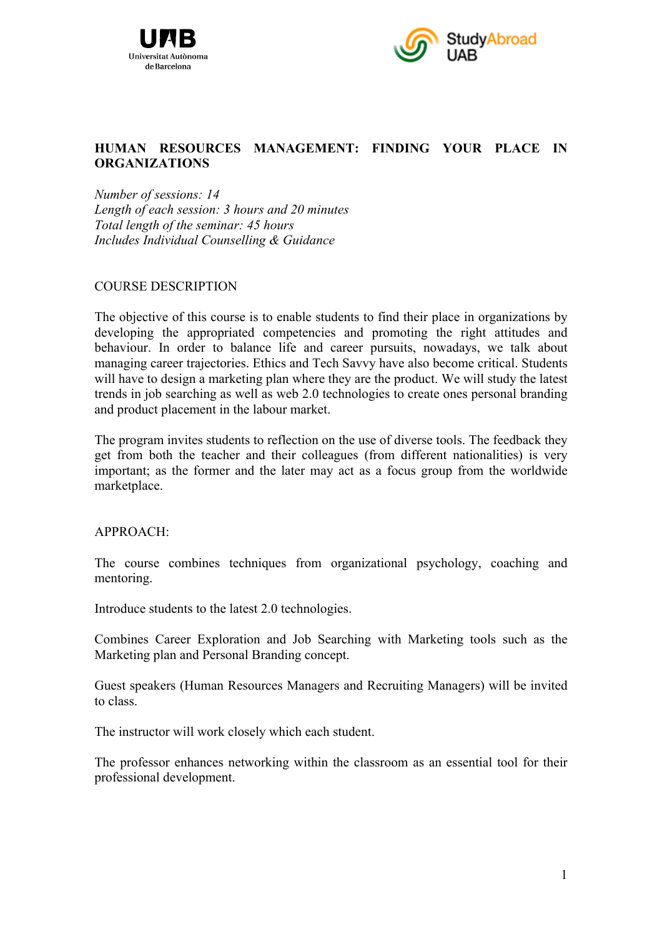



## **HUMAN RESOURCES MANAGEMENT: FINDING YOUR PLACE IN ORGANIZATIONS**

*Number of sessions: 14 Length of each session: 3 hours and 20 minutes Total length of the seminar: 45 hours Includes Individual Counselling & Guidance*

## COURSE DESCRIPTION

The objective of this course is to enable students to find their place in organizations by developing the appropriated competencies and promoting the right attitudes and behaviour. In order to balance life and career pursuits, nowadays, we talk about managing career trajectories. Ethics and Tech Savvy have also become critical. Students will have to design a marketing plan where they are the product. We will study the latest trends in job searching as well as web 2.0 technologies to create ones personal branding and product placement in the labour market.

The program invites students to reflection on the use of diverse tools. The feedback they get from both the teacher and their colleagues (from different nationalities) is very important; as the former and the later may act as a focus group from the worldwide marketplace.

#### APPROACH:

The course combines techniques from organizational psychology, coaching and mentoring.

Introduce students to the latest 2.0 technologies.

Combines Career Exploration and Job Searching with Marketing tools such as the Marketing plan and Personal Branding concept.

Guest speakers (Human Resources Managers and Recruiting Managers) will be invited to class.

The instructor will work closely which each student.

The professor enhances networking within the classroom as an essential tool for their professional development.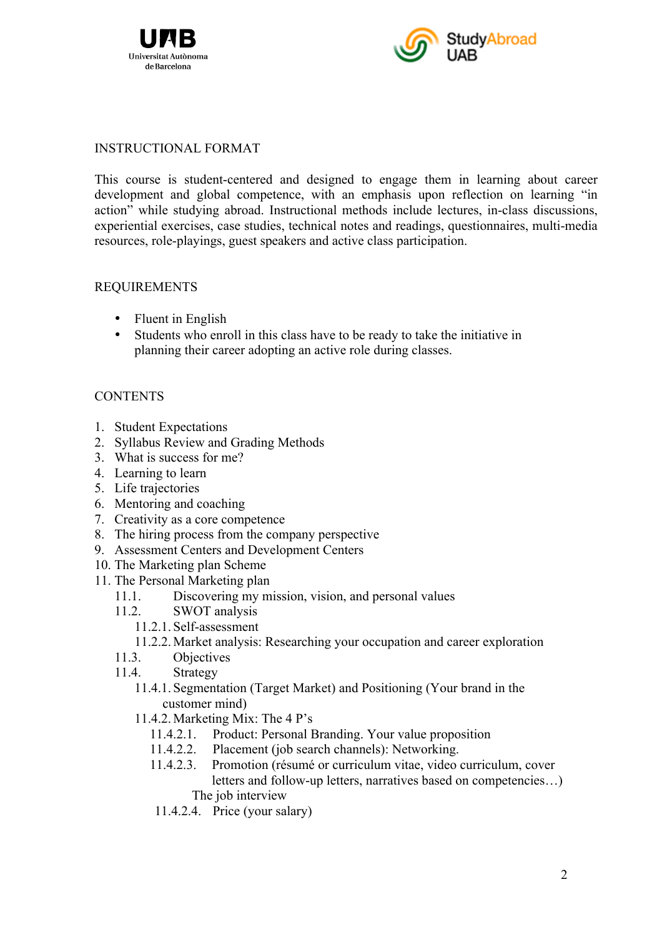



### INSTRUCTIONAL FORMAT

This course is student-centered and designed to engage them in learning about career development and global competence, with an emphasis upon reflection on learning "in action" while studying abroad. Instructional methods include lectures, in-class discussions, experiential exercises, case studies, technical notes and readings, questionnaires, multi-media resources, role-playings, guest speakers and active class participation.

## REQUIREMENTS

- Fluent in English
- Students who enroll in this class have to be ready to take the initiative in planning their career adopting an active role during classes.

# **CONTENTS**

- 1. Student Expectations
- 2. Syllabus Review and Grading Methods
- 3. What is success for me?
- 4. Learning to learn
- 5. Life trajectories
- 6. Mentoring and coaching
- 7. Creativity as a core competence
- 8. The hiring process from the company perspective
- 9. Assessment Centers and Development Centers
- 10. The Marketing plan Scheme
- 11. The Personal Marketing plan
	- 11.1. Discovering my mission, vision, and personal values
	- 11.2. SWOT analysis
		- 11.2.1. Self-assessment
		- 11.2.2. Market analysis: Researching your occupation and career exploration
	- 11.3. Objectives
	- 11.4. Strategy
		- 11.4.1. Segmentation (Target Market) and Positioning (Your brand in the customer mind)
		- 11.4.2. Marketing Mix: The 4 P's
			- 11.4.2.1. Product: Personal Branding. Your value proposition
			- 11.4.2.2. Placement (job search channels): Networking.
			- 11.4.2.3. Promotion (résumé or curriculum vitae, video curriculum, cover letters and follow-up letters, narratives based on competencies…) The job interview
			- 11.4.2.4. Price (your salary)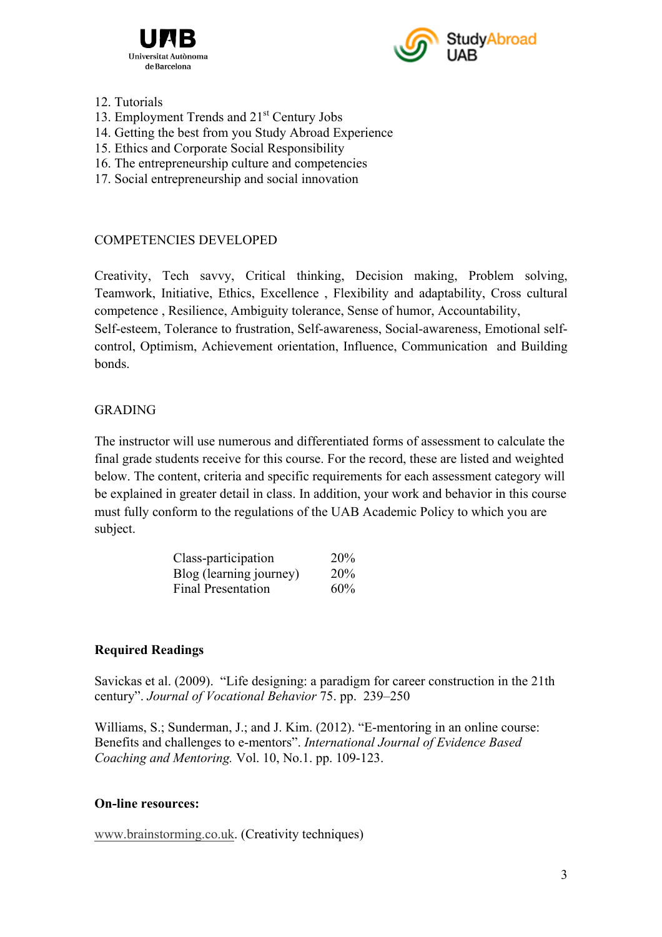



#### 12. Tutorials

- 13. Employment Trends and 21<sup>st</sup> Century Jobs
- 14. Getting the best from you Study Abroad Experience
- 15. Ethics and Corporate Social Responsibility
- 16. The entrepreneurship culture and competencies
- 17. Social entrepreneurship and social innovation

# COMPETENCIES DEVELOPED

Creativity, Tech savvy, Critical thinking, Decision making, Problem solving, Teamwork, Initiative, Ethics, Excellence , Flexibility and adaptability, Cross cultural competence , Resilience, Ambiguity tolerance, Sense of humor, Accountability, Self-esteem, Tolerance to frustration, Self-awareness, Social-awareness, Emotional selfcontrol, Optimism, Achievement orientation, Influence, Communication and Building bonds.

## GRADING

The instructor will use numerous and differentiated forms of assessment to calculate the final grade students receive for this course. For the record, these are listed and weighted below. The content, criteria and specific requirements for each assessment category will be explained in greater detail in class. In addition, your work and behavior in this course must fully conform to the regulations of the UAB Academic Policy to which you are subject.

| Class-participation       | 20% |
|---------------------------|-----|
| Blog (learning journey)   | 20% |
| <b>Final Presentation</b> | 60% |

# **Required Readings**

Savickas et al. (2009). "Life designing: a paradigm for career construction in the 21th century". *Journal of Vocational Behavior* 75. pp. 239–250

Williams, S.; Sunderman, J.; and J. Kim. (2012). "E-mentoring in an online course: Benefits and challenges to e-mentors". *International Journal of Evidence Based Coaching and Mentoring.* Vol. 10, No.1. pp. 109-123.

#### **On-line resources:**

www.brainstorming.co.uk. (Creativity techniques)